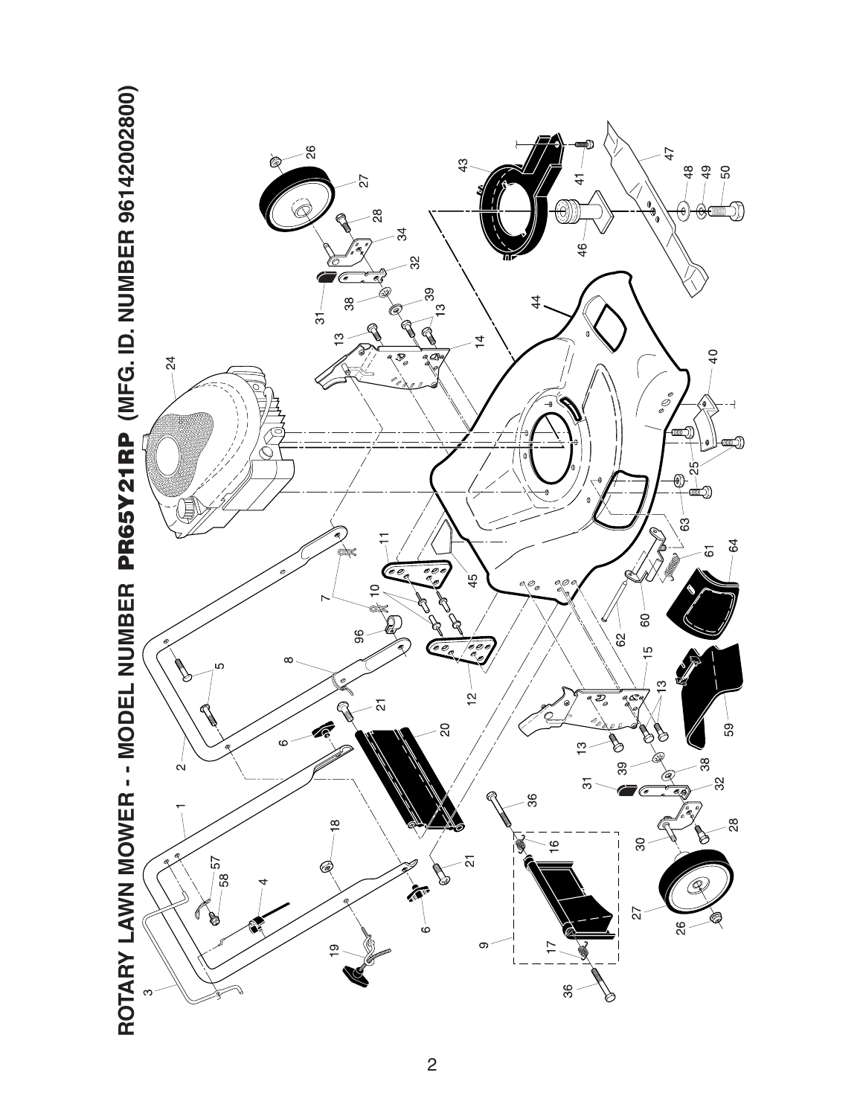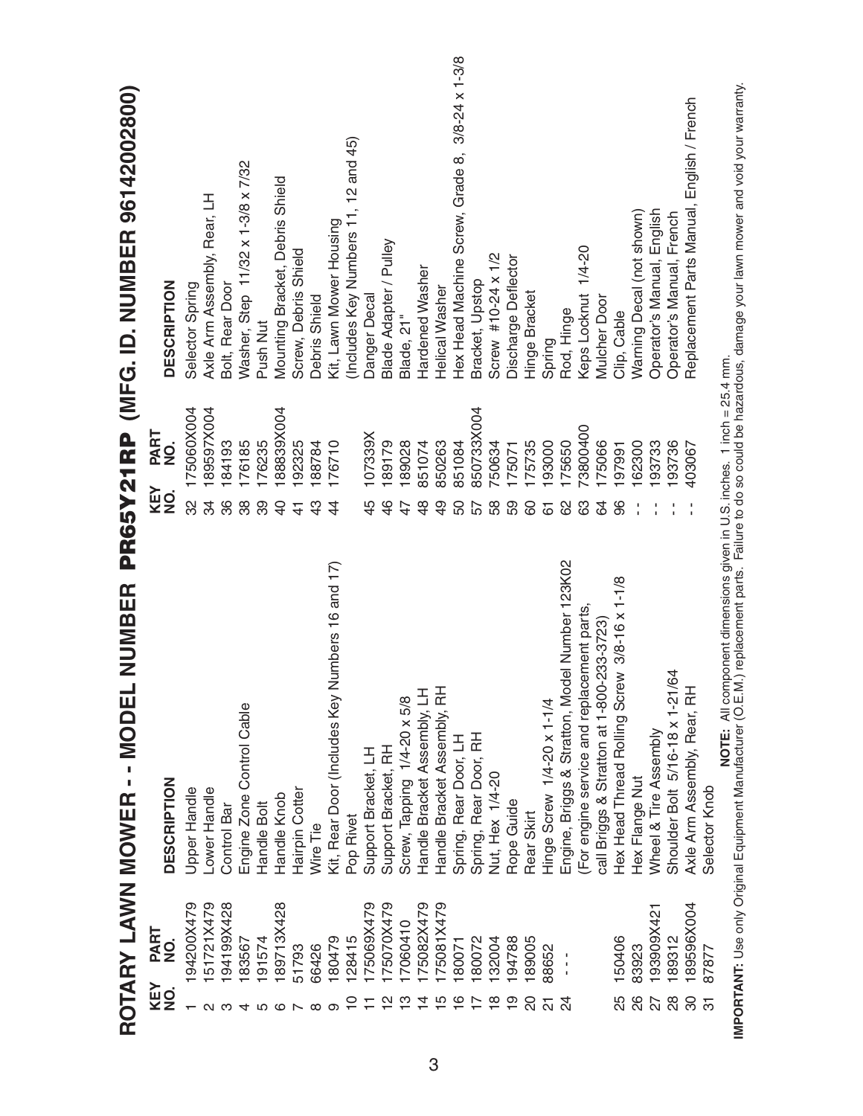|                |                     | NUMBER<br>$\overline{\mathbf{r}}$<br>ROTARY LAWN MOWER - - MODE        |                   | PR65Y21RP             | (MFG. ID. NUMBER 96142002800)                                 |
|----------------|---------------------|------------------------------------------------------------------------|-------------------|-----------------------|---------------------------------------------------------------|
| KEY<br>NO.     | <b>PART<br/>NO.</b> | <b>DESCRIPTION</b>                                                     | <b>KEY</b><br>NO. | PART<br>$\frac{1}{2}$ | <b>DESCRIPTION</b>                                            |
|                | 194200X479          | Upper Handle                                                           | 32                | 175060X004            | Selector Spring                                               |
|                | 151721X479          | Lower Handle                                                           | ನೆ                | 189597X004            | Axle Arm Assembly, Rear, LH                                   |
|                | 194199X428          | Control Bar                                                            | 36                | 184193                | Bolt, Rear Door                                               |
|                | 183567              | Engine Zone Control Cable                                              | 38                | 176185                | Washer, Step 11/32 x 1-3/8 x 7/32                             |
|                | 191574              | Handle Bolt                                                            | 89                | 176235                | Push Nut                                                      |
|                | 189713X428          | Handle Knob                                                            | 9                 | 88839X004             | Mounting Bracket, Debris Shield                               |
|                | 51793               | Hairpin Cotter                                                         | 41                | 192325                | Screw, Debris Shield                                          |
|                | 66426               | Wire Tie                                                               | 43                | 188784                | Debris Shield                                                 |
|                | 180479              | Numbers 16 and 17)<br>Kit, Rear Door (Includes Key                     | $\overline{4}$    | 176710                | Kit, Lawn Mower Housing                                       |
|                | 128415              | Pop Rivet                                                              |                   |                       | (Includes Key Numbers 11, 12 and 45)                          |
|                | 175069X479          | Support Bracket, LH                                                    | 45                | 107339X               | Danger Decal                                                  |
|                | 175070X479          | Support Bracket, RH                                                    | $\frac{4}{6}$     | 189179                | Blade Adapter / Pulley                                        |
|                | 17060410            | Screw, Tapping 1/4-20 x 5/8                                            | 47                | 189028                | Blade, 21"                                                    |
| 4              | 175082X479          | Handle Bracket Assembly, LH                                            | $\frac{8}{4}$     | 851074                | Hardened Washer                                               |
| ယ              | 175081X479          | Handle Bracket Assembly, RH                                            | $\frac{9}{4}$     | 850263                | Helical Washer                                                |
| ဖ              | 180071              | Spring, Rear Door, LH                                                  | 50                | 851084                | $3/8 - 24 \times 1 - 3/8$<br>Hex Head Machine Screw, Grade 8, |
|                | 180072              | Spring, Rear Door, RH                                                  | 57                | 850733X004            | Bracket, Upstop                                               |
|                | 132004              | Nut, Hex 1/4-20                                                        | 58                | 750634                | Screw #10-24 x 1/2                                            |
|                | 194788              | Rope Guide                                                             | 59                | 175071                | Discharge Deflector                                           |
|                | 189005              | Rear Skirt                                                             | 8                 | 175735                | Hinge Bracket                                                 |
| 군              | 88652               | Hinge Screw 1/4-20 x 1-1/4                                             | 61                | 193000                | Spring                                                        |
|                | $\frac{1}{1}$       | Engine, Briggs & Stratton, Model Number 123K02                         | 8                 | 175650                | Rod, Hinge                                                    |
|                |                     | (For engine service and replacement parts,                             | යි                | 73800400              | Keps Locknut 1/4-20                                           |
|                |                     | call Briggs & Stratton at 1-800-233-3723)                              | 84                | 175066                | <b>Mulcher Door</b>                                           |
| 25             | 150406              | Hex Head Thread Rolling Screw 3/8-16 x 1-1/8                           | 96                | 197991                | Clip, Cable                                                   |
| 26             | 83923               | Hex Flange Nut                                                         |                   | 162300                | Warning Decal (not shown)                                     |
| 22             | 193909X421          | Wheel & Tire Assembly                                                  |                   | 193733                | Operator's Manual, English                                    |
| 28             | 189312              | 164<br>Shoulder Bolt 5/16-18 x 1-21                                    |                   | 193736                | Operator's Manual, French                                     |
| 80             | 189596X004          | Axle Arm Assembly, Rear, RH                                            |                   | 403067                | Replacement Parts Manual, English / French                    |
| $\overline{5}$ | 87877               | Selector Knob                                                          |                   |                       |                                                               |
|                |                     | NOTE: All component dimensions given in U.S. inches. 1 inch = 25.4 mm. |                   |                       |                                                               |

IMPORTANT: Use only Original Equipment Manufacturer (O.E.M.) replacement parts. Failure to do so could be hazardous, damage your lawn mower and void your warranty. **IMPORTANT:** Use only Original Equipment Manufacturer (O.E.M.) replacement parts. Failure to do so could be hazardous, damage your lawn mower and void your warranty.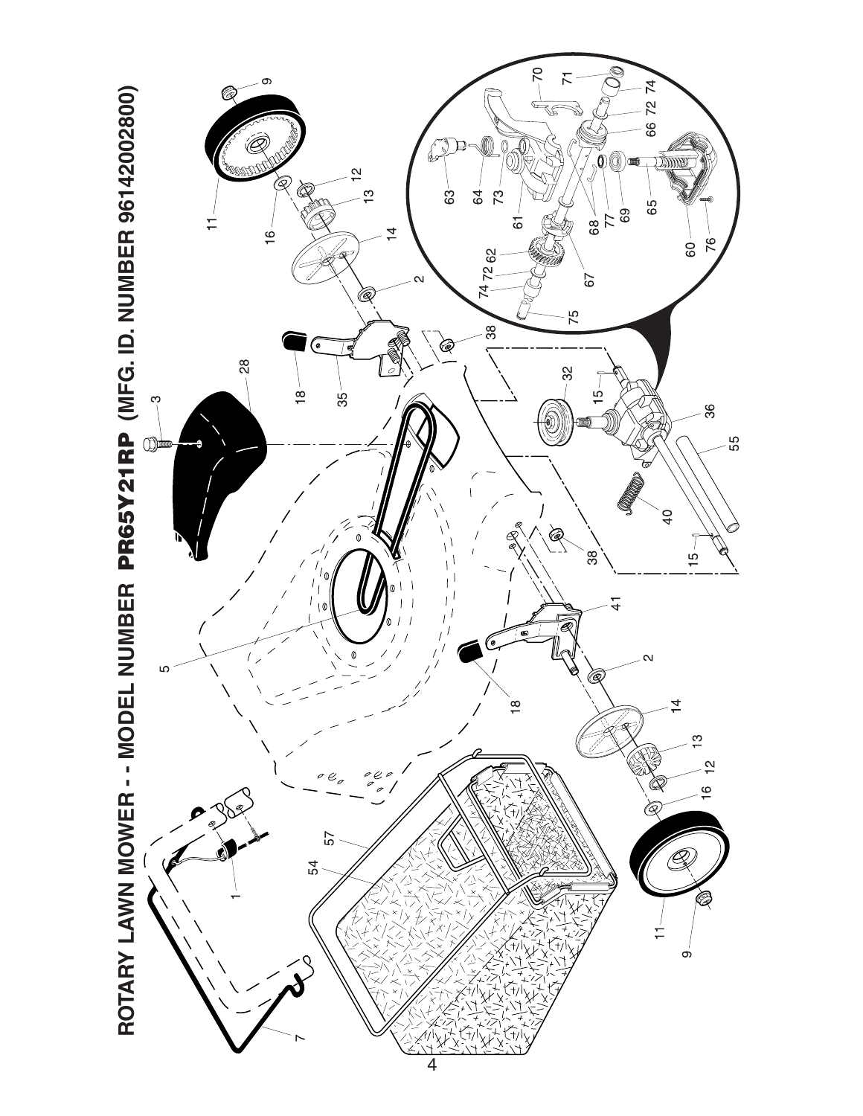